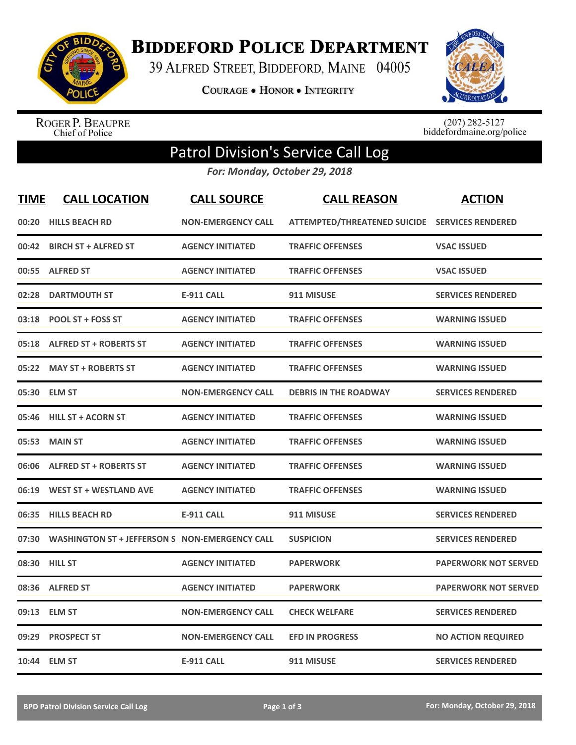

**BIDDEFORD POLICE DEPARTMENT** 

39 ALFRED STREET, BIDDEFORD, MAINE 04005

**COURAGE . HONOR . INTEGRITY** 



ROGER P. BEAUPRE<br>Chief of Police

 $(207)$  282-5127<br>biddefordmaine.org/police

## Patrol Division's Service Call Log

*For: Monday, October 29, 2018*

| <b>TIME</b> | <b>CALL LOCATION</b>                           | <b>CALL SOURCE</b>        | <b>CALL REASON</b>                             | <b>ACTION</b>               |
|-------------|------------------------------------------------|---------------------------|------------------------------------------------|-----------------------------|
| 00:20       | <b>HILLS BEACH RD</b>                          | <b>NON-EMERGENCY CALL</b> | ATTEMPTED/THREATENED SUICIDE SERVICES RENDERED |                             |
|             | 00:42 BIRCH ST + ALFRED ST                     | <b>AGENCY INITIATED</b>   | <b>TRAFFIC OFFENSES</b>                        | <b>VSAC ISSUED</b>          |
|             | 00:55 ALFRED ST                                | <b>AGENCY INITIATED</b>   | <b>TRAFFIC OFFENSES</b>                        | <b>VSAC ISSUED</b>          |
| 02:28       | <b>DARTMOUTH ST</b>                            | <b>E-911 CALL</b>         | 911 MISUSE                                     | <b>SERVICES RENDERED</b>    |
| 03:18       | <b>POOL ST + FOSS ST</b>                       | <b>AGENCY INITIATED</b>   | <b>TRAFFIC OFFENSES</b>                        | <b>WARNING ISSUED</b>       |
|             | 05:18 ALFRED ST + ROBERTS ST                   | <b>AGENCY INITIATED</b>   | <b>TRAFFIC OFFENSES</b>                        | <b>WARNING ISSUED</b>       |
|             | 05:22 MAY ST + ROBERTS ST                      | <b>AGENCY INITIATED</b>   | <b>TRAFFIC OFFENSES</b>                        | <b>WARNING ISSUED</b>       |
|             | 05:30 ELM ST                                   | <b>NON-EMERGENCY CALL</b> | <b>DEBRIS IN THE ROADWAY</b>                   | <b>SERVICES RENDERED</b>    |
|             | 05:46 HILL ST + ACORN ST                       | <b>AGENCY INITIATED</b>   | <b>TRAFFIC OFFENSES</b>                        | <b>WARNING ISSUED</b>       |
|             | 05:53 MAIN ST                                  | <b>AGENCY INITIATED</b>   | <b>TRAFFIC OFFENSES</b>                        | <b>WARNING ISSUED</b>       |
|             | 06:06 ALFRED ST + ROBERTS ST                   | <b>AGENCY INITIATED</b>   | <b>TRAFFIC OFFENSES</b>                        | <b>WARNING ISSUED</b>       |
|             | 06:19 WEST ST + WESTLAND AVE                   | <b>AGENCY INITIATED</b>   | <b>TRAFFIC OFFENSES</b>                        | <b>WARNING ISSUED</b>       |
| 06:35       | <b>HILLS BEACH RD</b>                          | <b>E-911 CALL</b>         | 911 MISUSE                                     | <b>SERVICES RENDERED</b>    |
| 07:30       | WASHINGTON ST + JEFFERSON S NON-EMERGENCY CALL |                           | <b>SUSPICION</b>                               | <b>SERVICES RENDERED</b>    |
| 08:30       | <b>HILL ST</b>                                 | <b>AGENCY INITIATED</b>   | <b>PAPERWORK</b>                               | <b>PAPERWORK NOT SERVED</b> |
|             | 08:36 ALFRED ST                                | <b>AGENCY INITIATED</b>   | <b>PAPERWORK</b>                               | <b>PAPERWORK NOT SERVED</b> |
|             | 09:13 ELM ST                                   | <b>NON-EMERGENCY CALL</b> | <b>CHECK WELFARE</b>                           | <b>SERVICES RENDERED</b>    |
| 09:29       | <b>PROSPECT ST</b>                             | <b>NON-EMERGENCY CALL</b> | <b>EFD IN PROGRESS</b>                         | <b>NO ACTION REQUIRED</b>   |
|             | 10:44 ELM ST                                   | <b>E-911 CALL</b>         | 911 MISUSE                                     | <b>SERVICES RENDERED</b>    |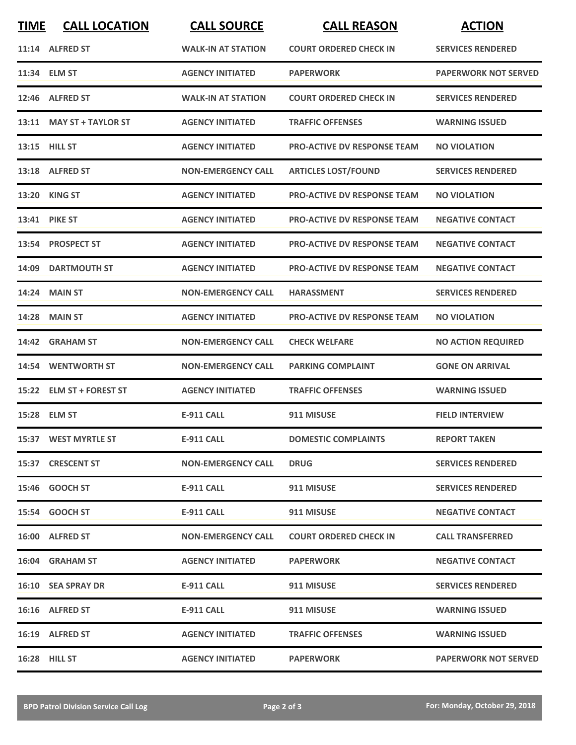| <b>TIME</b> | <b>CALL LOCATION</b>      | <b>CALL SOURCE</b>        | <b>CALL REASON</b>                 | <b>ACTION</b>               |
|-------------|---------------------------|---------------------------|------------------------------------|-----------------------------|
|             | 11:14 ALFRED ST           | <b>WALK-IN AT STATION</b> | <b>COURT ORDERED CHECK IN</b>      | <b>SERVICES RENDERED</b>    |
|             | 11:34 ELM ST              | <b>AGENCY INITIATED</b>   | <b>PAPERWORK</b>                   | <b>PAPERWORK NOT SERVED</b> |
| 12:46       | <b>ALFRED ST</b>          | <b>WALK-IN AT STATION</b> | <b>COURT ORDERED CHECK IN</b>      | <b>SERVICES RENDERED</b>    |
|             | 13:11 MAY ST + TAYLOR ST  | <b>AGENCY INITIATED</b>   | <b>TRAFFIC OFFENSES</b>            | <b>WARNING ISSUED</b>       |
|             | 13:15 HILL ST             | <b>AGENCY INITIATED</b>   | <b>PRO-ACTIVE DV RESPONSE TEAM</b> | <b>NO VIOLATION</b>         |
|             | 13:18 ALFRED ST           | <b>NON-EMERGENCY CALL</b> | <b>ARTICLES LOST/FOUND</b>         | <b>SERVICES RENDERED</b>    |
|             | 13:20 KING ST             | <b>AGENCY INITIATED</b>   | PRO-ACTIVE DV RESPONSE TEAM        | <b>NO VIOLATION</b>         |
|             | 13:41 PIKE ST             | <b>AGENCY INITIATED</b>   | <b>PRO-ACTIVE DV RESPONSE TEAM</b> | <b>NEGATIVE CONTACT</b>     |
| 13:54       | <b>PROSPECT ST</b>        | <b>AGENCY INITIATED</b>   | <b>PRO-ACTIVE DV RESPONSE TEAM</b> | <b>NEGATIVE CONTACT</b>     |
| 14:09       | <b>DARTMOUTH ST</b>       | <b>AGENCY INITIATED</b>   | <b>PRO-ACTIVE DV RESPONSE TEAM</b> | <b>NEGATIVE CONTACT</b>     |
|             | <b>14:24 MAIN ST</b>      | <b>NON-EMERGENCY CALL</b> | <b>HARASSMENT</b>                  | <b>SERVICES RENDERED</b>    |
| 14:28       | <b>MAIN ST</b>            | <b>AGENCY INITIATED</b>   | <b>PRO-ACTIVE DV RESPONSE TEAM</b> | <b>NO VIOLATION</b>         |
|             | 14:42 GRAHAM ST           | <b>NON-EMERGENCY CALL</b> | <b>CHECK WELFARE</b>               | <b>NO ACTION REQUIRED</b>   |
|             | 14:54 WENTWORTH ST        | <b>NON-EMERGENCY CALL</b> | <b>PARKING COMPLAINT</b>           | <b>GONE ON ARRIVAL</b>      |
| 15:22       | <b>ELM ST + FOREST ST</b> | <b>AGENCY INITIATED</b>   | <b>TRAFFIC OFFENSES</b>            | <b>WARNING ISSUED</b>       |
|             | 15:28 ELM ST              | <b>E-911 CALL</b>         | 911 MISUSE                         | <b>FIELD INTERVIEW</b>      |
|             | 15:37 WEST MYRTLE ST      | <b>E-911 CALL</b>         | <b>DOMESTIC COMPLAINTS</b>         | <b>REPORT TAKEN</b>         |
|             | 15:37 CRESCENT ST         | <b>NON-EMERGENCY CALL</b> | <b>DRUG</b>                        | <b>SERVICES RENDERED</b>    |
|             | 15:46 GOOCH ST            | E-911 CALL                | 911 MISUSE                         | <b>SERVICES RENDERED</b>    |
|             | 15:54 GOOCH ST            | <b>E-911 CALL</b>         | 911 MISUSE                         | <b>NEGATIVE CONTACT</b>     |
|             | 16:00 ALFRED ST           | <b>NON-EMERGENCY CALL</b> | <b>COURT ORDERED CHECK IN</b>      | <b>CALL TRANSFERRED</b>     |
|             | 16:04 GRAHAM ST           | <b>AGENCY INITIATED</b>   | <b>PAPERWORK</b>                   | <b>NEGATIVE CONTACT</b>     |
|             | <b>16:10 SEA SPRAY DR</b> | E-911 CALL                | 911 MISUSE                         | <b>SERVICES RENDERED</b>    |
|             | 16:16 ALFRED ST           | E-911 CALL                | 911 MISUSE                         | <b>WARNING ISSUED</b>       |
|             | 16:19 ALFRED ST           | <b>AGENCY INITIATED</b>   | <b>TRAFFIC OFFENSES</b>            | <b>WARNING ISSUED</b>       |
|             | 16:28 HILL ST             | <b>AGENCY INITIATED</b>   | <b>PAPERWORK</b>                   | <b>PAPERWORK NOT SERVED</b> |